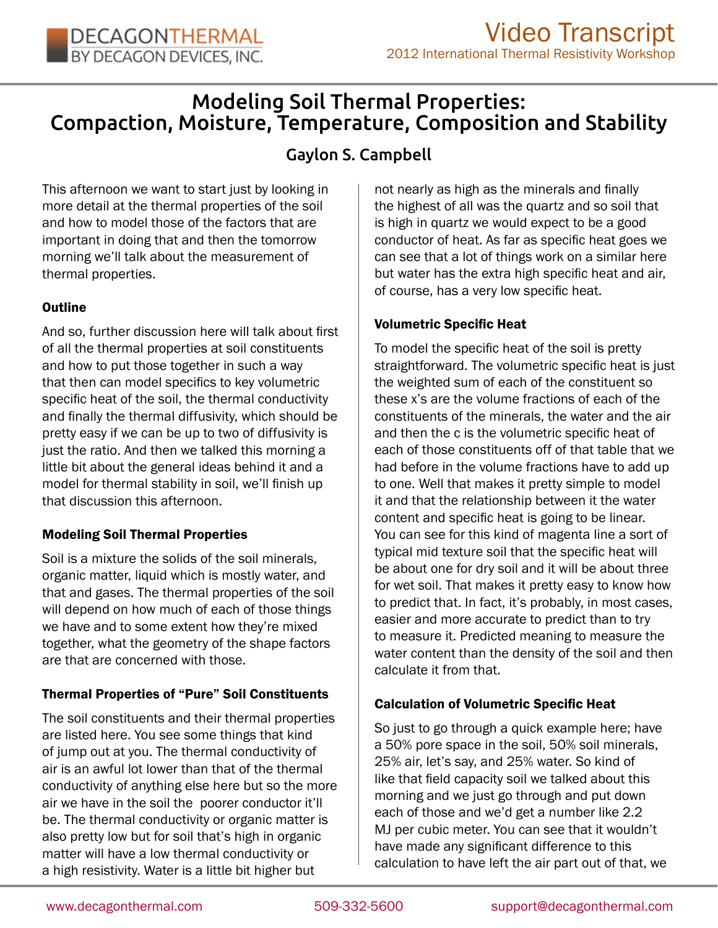# Modeling Soil Thermal Properties: Compaction, Moisture, Temperature, Composition and Stability

# Gaylon S. Campbell

This afternoon we want to start just by looking in more detail at the thermal properties of the soil and how to model those of the factors that are important in doing that and then the tomorrow morning we'll talk about the measurement of thermal properties.

### **Outline**

And so, further discussion here will talk about first of all the thermal properties at soil constituents and how to put those together in such a way that then can model specifics to key volumetric specific heat of the soil, the thermal conductivity and finally the thermal diffusivity, which should be pretty easy if we can be up to two of diffusivity is just the ratio. And then we talked this morning a little bit about the general ideas behind it and a model for thermal stability in soil, we'll finish up that discussion this afternoon.

# Modeling Soil Thermal Properties

Soil is a mixture the solids of the soil minerals, organic matter, liquid which is mostly water, and that and gases. The thermal properties of the soil will depend on how much of each of those things we have and to some extent how they're mixed together, what the geometry of the shape factors are that are concerned with those.

# Thermal Properties of "Pure" Soil Constituents

The soil constituents and their thermal properties are listed here. You see some things that kind of jump out at you. The thermal conductivity of air is an awful lot lower than that of the thermal conductivity of anything else here but so the more air we have in the soil the poorer conductor it'll be. The thermal conductivity or organic matter is also pretty low but for soil that's high in organic matter will have a low thermal conductivity or a high resistivity. Water is a little bit higher but

not nearly as high as the minerals and finally the highest of all was the quartz and so soil that is high in quartz we would expect to be a good conductor of heat. As far as specific heat goes we can see that a lot of things work on a similar here but water has the extra high specific heat and air, of course, has a very low specific heat.

### Volumetric Specific Heat

To model the specific heat of the soil is pretty straightforward. The volumetric specific heat is just the weighted sum of each of the constituent so these x's are the volume fractions of each of the constituents of the minerals, the water and the air and then the c is the volumetric specific heat of each of those constituents off of that table that we had before in the volume fractions have to add up to one. Well that makes it pretty simple to model it and that the relationship between it the water content and specific heat is going to be linear. You can see for this kind of magenta line a sort of typical mid texture soil that the specific heat will be about one for dry soil and it will be about three for wet soil. That makes it pretty easy to know how to predict that. In fact, it's probably, in most cases, easier and more accurate to predict than to try to measure it. Predicted meaning to measure the water content than the density of the soil and then calculate it from that.

# Calculation of Volumetric Specific Heat

So just to go through a quick example here; have a 50% pore space in the soil, 50% soil minerals, 25% air, let's say, and 25% water. So kind of like that field capacity soil we talked about this morning and we just go through and put down each of those and we'd get a number like 2.2 MJ per cubic meter. You can see that it wouldn't have made any significant difference to this calculation to have left the air part out of that, we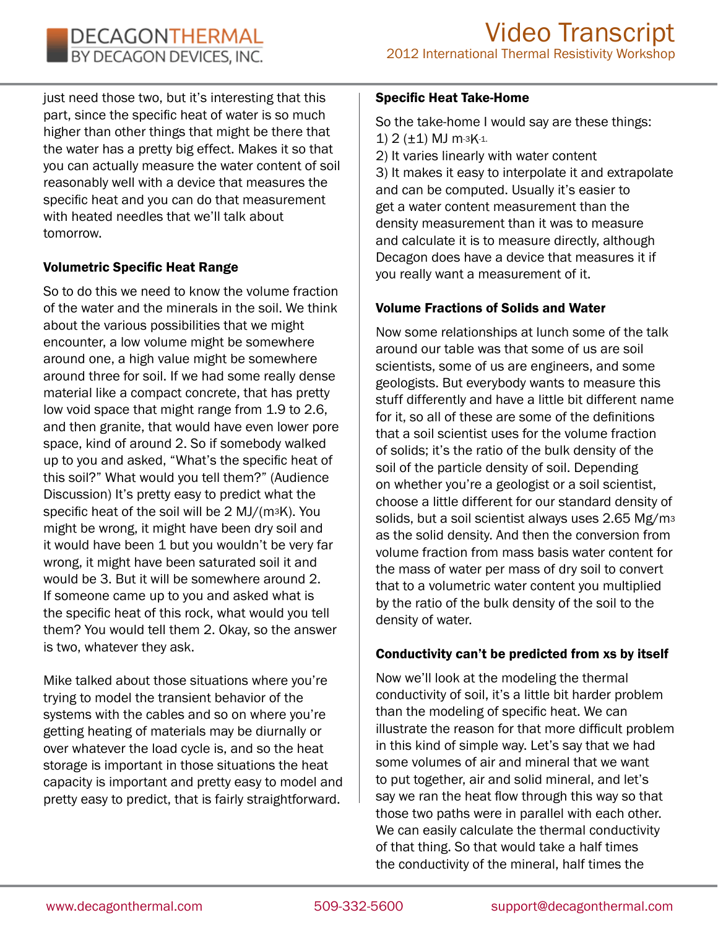just need those two, but it's interesting that this part, since the specific heat of water is so much higher than other things that might be there that the water has a pretty big effect. Makes it so that you can actually measure the water content of soil reasonably well with a device that measures the specific heat and you can do that measurement with heated needles that we'll talk about tomorrow.

# Volumetric Specific Heat Range

So to do this we need to know the volume fraction of the water and the minerals in the soil. We think about the various possibilities that we might encounter, a low volume might be somewhere around one, a high value might be somewhere around three for soil. If we had some really dense material like a compact concrete, that has pretty low void space that might range from 1.9 to 2.6, and then granite, that would have even lower pore space, kind of around 2. So if somebody walked up to you and asked, "What's the specific heat of this soil?" What would you tell them?" (Audience Discussion) It's pretty easy to predict what the specific heat of the soil will be 2 MJ/(m3K). You might be wrong, it might have been dry soil and it would have been 1 but you wouldn't be very far wrong, it might have been saturated soil it and would be 3. But it will be somewhere around 2. If someone came up to you and asked what is the specific heat of this rock, what would you tell them? You would tell them 2. Okay, so the answer is two, whatever they ask.

Mike talked about those situations where you're trying to model the transient behavior of the systems with the cables and so on where you're getting heating of materials may be diurnally or over whatever the load cycle is, and so the heat storage is important in those situations the heat capacity is important and pretty easy to model and pretty easy to predict, that is fairly straightforward.

#### Specific Heat Take-Home

So the take-home I would say are these things: 1) 2 (±1) MJ m-3K-1. 2) It varies linearly with water content

3) It makes it easy to interpolate it and extrapolate and can be computed. Usually it's easier to get a water content measurement than the density measurement than it was to measure and calculate it is to measure directly, although Decagon does have a device that measures it if you really want a measurement of it.

### Volume Fractions of Solids and Water

Now some relationships at lunch some of the talk around our table was that some of us are soil scientists, some of us are engineers, and some geologists. But everybody wants to measure this stuff differently and have a little bit different name for it, so all of these are some of the definitions that a soil scientist uses for the volume fraction of solids; it's the ratio of the bulk density of the soil of the particle density of soil. Depending on whether you're a geologist or a soil scientist, choose a little different for our standard density of solids, but a soil scientist always uses 2.65 Mg/m<sup>3</sup> as the solid density. And then the conversion from volume fraction from mass basis water content for the mass of water per mass of dry soil to convert that to a volumetric water content you multiplied by the ratio of the bulk density of the soil to the density of water.

### Conductivity can't be predicted from xs by itself

Now we'll look at the modeling the thermal conductivity of soil, it's a little bit harder problem than the modeling of specific heat. We can illustrate the reason for that more difficult problem in this kind of simple way. Let's say that we had some volumes of air and mineral that we want to put together, air and solid mineral, and let's say we ran the heat flow through this way so that those two paths were in parallel with each other. We can easily calculate the thermal conductivity of that thing. So that would take a half times the conductivity of the mineral, half times the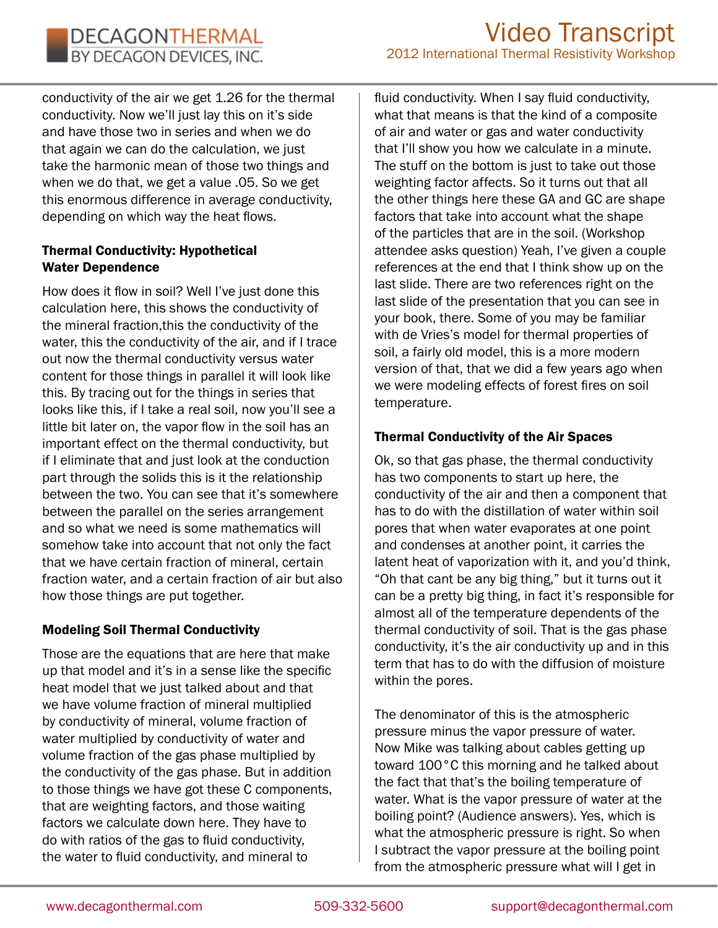conductivity of the air we get 1.26 for the thermal conductivity. Now we'll just lay this on it's side and have those two in series and when we do that again we can do the calculation, we just take the harmonic mean of those two things and when we do that, we get a value .05. So we get this enormous difference in average conductivity, depending on which way the heat flows.

### Thermal Conductivity: Hypothetical Water Dependence

How does it flow in soil? Well I've just done this calculation here, this shows the conductivity of the mineral fraction,this the conductivity of the water, this the conductivity of the air, and if I trace out now the thermal conductivity versus water content for those things in parallel it will look like this. By tracing out for the things in series that looks like this, if I take a real soil, now you'll see a little bit later on, the vapor flow in the soil has an important effect on the thermal conductivity, but if I eliminate that and just look at the conduction part through the solids this is it the relationship between the two. You can see that it's somewhere between the parallel on the series arrangement and so what we need is some mathematics will somehow take into account that not only the fact that we have certain fraction of mineral, certain fraction water, and a certain fraction of air but also how those things are put together.

# Modeling Soil Thermal Conductivity

Those are the equations that are here that make up that model and it's in a sense like the specific heat model that we just talked about and that we have volume fraction of mineral multiplied by conductivity of mineral, volume fraction of water multiplied by conductivity of water and volume fraction of the gas phase multiplied by the conductivity of the gas phase. But in addition to those things we have got these C components, that are weighting factors, and those waiting factors we calculate down here. They have to do with ratios of the gas to fluid conductivity, the water to fluid conductivity, and mineral to

fluid conductivity. When I say fluid conductivity, what that means is that the kind of a composite of air and water or gas and water conductivity that I'll show you how we calculate in a minute. The stuff on the bottom is just to take out those weighting factor affects. So it turns out that all the other things here these GA and GC are shape factors that take into account what the shape of the particles that are in the soil. (Workshop attendee asks question) Yeah, I've given a couple references at the end that I think show up on the last slide. There are two references right on the last slide of the presentation that you can see in your book, there. Some of you may be familiar with de Vries's model for thermal properties of soil, a fairly old model, this is a more modern version of that, that we did a few years ago when we were modeling effects of forest fires on soil temperature.

# Thermal Conductivity of the Air Spaces

Ok, so that gas phase, the thermal conductivity has two components to start up here, the conductivity of the air and then a component that has to do with the distillation of water within soil pores that when water evaporates at one point and condenses at another point, it carries the latent heat of vaporization with it, and you'd think, "Oh that cant be any big thing," but it turns out it can be a pretty big thing, in fact it's responsible for almost all of the temperature dependents of the thermal conductivity of soil. That is the gas phase conductivity, it's the air conductivity up and in this term that has to do with the diffusion of moisture within the pores.

The denominator of this is the atmospheric pressure minus the vapor pressure of water. Now Mike was talking about cables getting up toward 100°C this morning and he talked about the fact that that's the boiling temperature of water. What is the vapor pressure of water at the boiling point? (Audience answers). Yes, which is what the atmospheric pressure is right. So when I subtract the vapor pressure at the boiling point from the atmospheric pressure what will I get in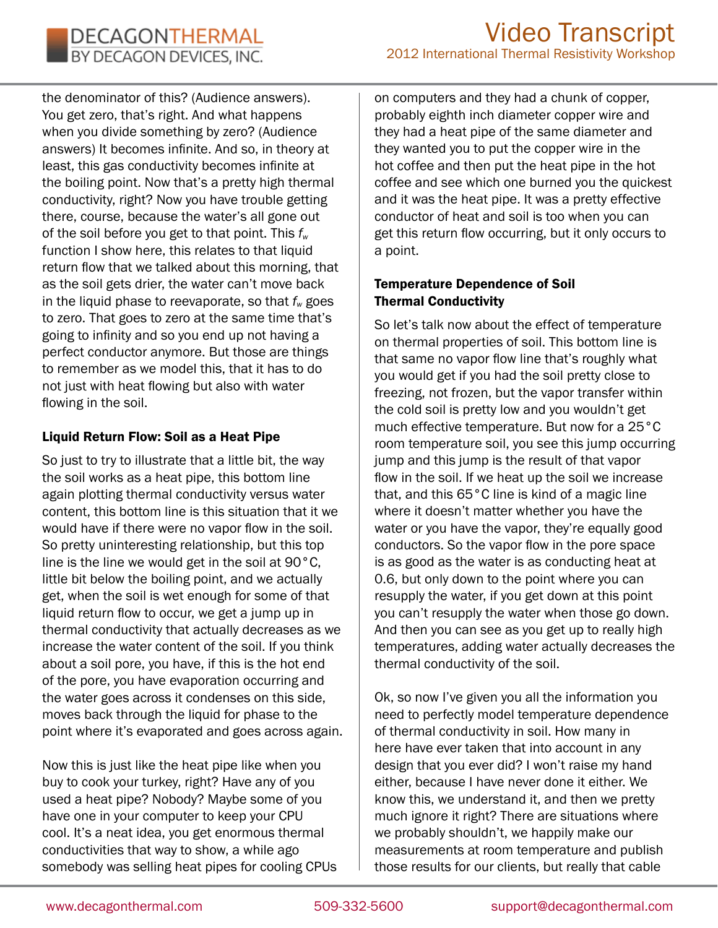the denominator of this? (Audience answers). You get zero, that's right. And what happens when you divide something by zero? (Audience answers) It becomes infinite. And so, in theory at least, this gas conductivity becomes infinite at the boiling point. Now that's a pretty high thermal conductivity, right? Now you have trouble getting there, course, because the water's all gone out of the soil before you get to that point. This *fw* function I show here, this relates to that liquid return flow that we talked about this morning, that as the soil gets drier, the water can't move back in the liquid phase to reevaporate, so that  $f_w$  goes to zero. That goes to zero at the same time that's going to infinity and so you end up not having a perfect conductor anymore. But those are things to remember as we model this, that it has to do not just with heat flowing but also with water flowing in the soil.

# Liquid Return Flow: Soil as a Heat Pipe

So just to try to illustrate that a little bit, the way the soil works as a heat pipe, this bottom line again plotting thermal conductivity versus water content, this bottom line is this situation that it we would have if there were no vapor flow in the soil. So pretty uninteresting relationship, but this top line is the line we would get in the soil at 90°C, little bit below the boiling point, and we actually get, when the soil is wet enough for some of that liquid return flow to occur, we get a jump up in thermal conductivity that actually decreases as we increase the water content of the soil. If you think about a soil pore, you have, if this is the hot end of the pore, you have evaporation occurring and the water goes across it condenses on this side, moves back through the liquid for phase to the point where it's evaporated and goes across again.

Now this is just like the heat pipe like when you buy to cook your turkey, right? Have any of you used a heat pipe? Nobody? Maybe some of you have one in your computer to keep your CPU cool. It's a neat idea, you get enormous thermal conductivities that way to show, a while ago somebody was selling heat pipes for cooling CPUs

on computers and they had a chunk of copper, probably eighth inch diameter copper wire and they had a heat pipe of the same diameter and they wanted you to put the copper wire in the hot coffee and then put the heat pipe in the hot coffee and see which one burned you the quickest and it was the heat pipe. It was a pretty effective conductor of heat and soil is too when you can get this return flow occurring, but it only occurs to a point.

# Temperature Dependence of Soil Thermal Conductivity

So let's talk now about the effect of temperature on thermal properties of soil. This bottom line is that same no vapor flow line that's roughly what you would get if you had the soil pretty close to freezing, not frozen, but the vapor transfer within the cold soil is pretty low and you wouldn't get much effective temperature. But now for a 25°C room temperature soil, you see this jump occurring jump and this jump is the result of that vapor flow in the soil. If we heat up the soil we increase that, and this 65°C line is kind of a magic line where it doesn't matter whether you have the water or you have the vapor, they're equally good conductors. So the vapor flow in the pore space is as good as the water is as conducting heat at 0.6, but only down to the point where you can resupply the water, if you get down at this point you can't resupply the water when those go down. And then you can see as you get up to really high temperatures, adding water actually decreases the thermal conductivity of the soil.

Ok, so now I've given you all the information you need to perfectly model temperature dependence of thermal conductivity in soil. How many in here have ever taken that into account in any design that you ever did? I won't raise my hand either, because I have never done it either. We know this, we understand it, and then we pretty much ignore it right? There are situations where we probably shouldn't, we happily make our measurements at room temperature and publish those results for our clients, but really that cable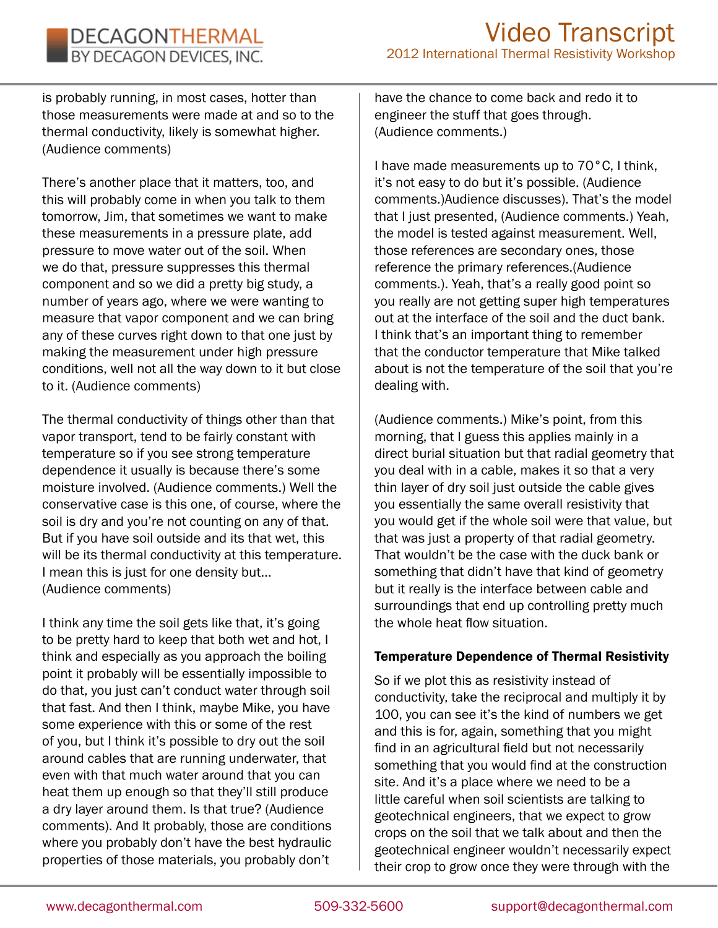is probably running, in most cases, hotter than those measurements were made at and so to the thermal conductivity, likely is somewhat higher. (Audience comments)

DECAGONTHERMAL BY DECAGON DEVICES, INC.

There's another place that it matters, too, and this will probably come in when you talk to them tomorrow, Jim, that sometimes we want to make these measurements in a pressure plate, add pressure to move water out of the soil. When we do that, pressure suppresses this thermal component and so we did a pretty big study, a number of years ago, where we were wanting to measure that vapor component and we can bring any of these curves right down to that one just by making the measurement under high pressure conditions, well not all the way down to it but close to it. (Audience comments)

The thermal conductivity of things other than that vapor transport, tend to be fairly constant with temperature so if you see strong temperature dependence it usually is because there's some moisture involved. (Audience comments.) Well the conservative case is this one, of course, where the soil is dry and you're not counting on any of that. But if you have soil outside and its that wet, this will be its thermal conductivity at this temperature. I mean this is just for one density but… (Audience comments)

I think any time the soil gets like that, it's going to be pretty hard to keep that both wet and hot, I think and especially as you approach the boiling point it probably will be essentially impossible to do that, you just can't conduct water through soil that fast. And then I think, maybe Mike, you have some experience with this or some of the rest of you, but I think it's possible to dry out the soil around cables that are running underwater, that even with that much water around that you can heat them up enough so that they'll still produce a dry layer around them. Is that true? (Audience comments). And It probably, those are conditions where you probably don't have the best hydraulic properties of those materials, you probably don't

have the chance to come back and redo it to engineer the stuff that goes through. (Audience comments.)

I have made measurements up to 70°C, I think, it's not easy to do but it's possible. (Audience comments.)Audience discusses). That's the model that I just presented, (Audience comments.) Yeah, the model is tested against measurement. Well, those references are secondary ones, those reference the primary references.(Audience comments.). Yeah, that's a really good point so you really are not getting super high temperatures out at the interface of the soil and the duct bank. I think that's an important thing to remember that the conductor temperature that Mike talked about is not the temperature of the soil that you're dealing with.

(Audience comments.) Mike's point, from this morning, that I guess this applies mainly in a direct burial situation but that radial geometry that you deal with in a cable, makes it so that a very thin layer of dry soil just outside the cable gives you essentially the same overall resistivity that you would get if the whole soil were that value, but that was just a property of that radial geometry. That wouldn't be the case with the duck bank or something that didn't have that kind of geometry but it really is the interface between cable and surroundings that end up controlling pretty much the whole heat flow situation.

### Temperature Dependence of Thermal Resistivity

So if we plot this as resistivity instead of conductivity, take the reciprocal and multiply it by 100, you can see it's the kind of numbers we get and this is for, again, something that you might find in an agricultural field but not necessarily something that you would find at the construction site. And it's a place where we need to be a little careful when soil scientists are talking to geotechnical engineers, that we expect to grow crops on the soil that we talk about and then the geotechnical engineer wouldn't necessarily expect their crop to grow once they were through with the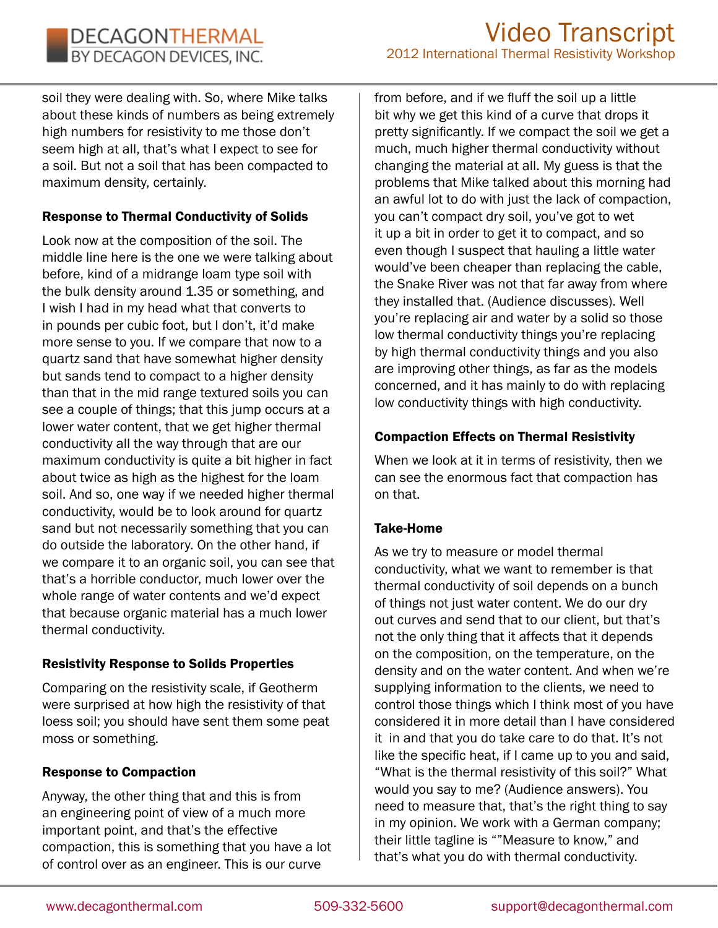soil they were dealing with. So, where Mike talks about these kinds of numbers as being extremely high numbers for resistivity to me those don't seem high at all, that's what I expect to see for a soil. But not a soil that has been compacted to maximum density, certainly.

# Response to Thermal Conductivity of Solids

Look now at the composition of the soil. The middle line here is the one we were talking about before, kind of a midrange loam type soil with the bulk density around 1.35 or something, and I wish I had in my head what that converts to in pounds per cubic foot, but I don't, it'd make more sense to you. If we compare that now to a quartz sand that have somewhat higher density but sands tend to compact to a higher density than that in the mid range textured soils you can see a couple of things; that this jump occurs at a lower water content, that we get higher thermal conductivity all the way through that are our maximum conductivity is quite a bit higher in fact about twice as high as the highest for the loam soil. And so, one way if we needed higher thermal conductivity, would be to look around for quartz sand but not necessarily something that you can do outside the laboratory. On the other hand, if we compare it to an organic soil, you can see that that's a horrible conductor, much lower over the whole range of water contents and we'd expect that because organic material has a much lower thermal conductivity.

# Resistivity Response to Solids Properties

Comparing on the resistivity scale, if Geotherm were surprised at how high the resistivity of that loess soil; you should have sent them some peat moss or something.

# Response to Compaction

Anyway, the other thing that and this is from an engineering point of view of a much more important point, and that's the effective compaction, this is something that you have a lot of control over as an engineer. This is our curve

from before, and if we fluff the soil up a little bit why we get this kind of a curve that drops it pretty significantly. If we compact the soil we get a much, much higher thermal conductivity without changing the material at all. My guess is that the problems that Mike talked about this morning had an awful lot to do with just the lack of compaction, you can't compact dry soil, you've got to wet it up a bit in order to get it to compact, and so even though I suspect that hauling a little water would've been cheaper than replacing the cable, the Snake River was not that far away from where they installed that. (Audience discusses). Well you're replacing air and water by a solid so those low thermal conductivity things you're replacing by high thermal conductivity things and you also are improving other things, as far as the models concerned, and it has mainly to do with replacing low conductivity things with high conductivity.

# Compaction Effects on Thermal Resistivity

When we look at it in terms of resistivity, then we can see the enormous fact that compaction has on that.

# Take-Home

As we try to measure or model thermal conductivity, what we want to remember is that thermal conductivity of soil depends on a bunch of things not just water content. We do our dry out curves and send that to our client, but that's not the only thing that it affects that it depends on the composition, on the temperature, on the density and on the water content. And when we're supplying information to the clients, we need to control those things which I think most of you have considered it in more detail than I have considered it in and that you do take care to do that. It's not like the specific heat, if I came up to you and said, "What is the thermal resistivity of this soil?" What would you say to me? (Audience answers). You need to measure that, that's the right thing to say in my opinion. We work with a German company; their little tagline is ""Measure to know," and that's what you do with thermal conductivity.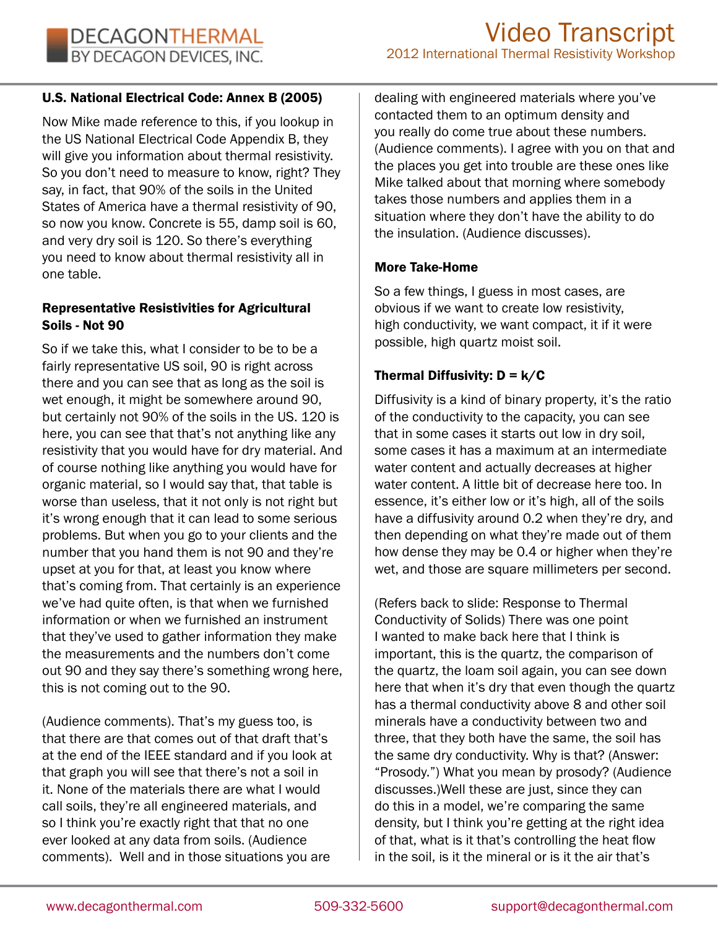### U.S. National Electrical Code: Annex B (2005)

Now Mike made reference to this, if you lookup in the US National Electrical Code Appendix B, they will give you information about thermal resistivity. So you don't need to measure to know, right? They say, in fact, that 90% of the soils in the United States of America have a thermal resistivity of 90, so now you know. Concrete is 55, damp soil is 60, and very dry soil is 120. So there's everything you need to know about thermal resistivity all in one table.

### Representative Resistivities for Agricultural Soils - Not 90

So if we take this, what I consider to be to be a fairly representative US soil, 90 is right across there and you can see that as long as the soil is wet enough, it might be somewhere around 90, but certainly not 90% of the soils in the US. 120 is here, you can see that that's not anything like any resistivity that you would have for dry material. And of course nothing like anything you would have for organic material, so I would say that, that table is worse than useless, that it not only is not right but it's wrong enough that it can lead to some serious problems. But when you go to your clients and the number that you hand them is not 90 and they're upset at you for that, at least you know where that's coming from. That certainly is an experience we've had quite often, is that when we furnished information or when we furnished an instrument that they've used to gather information they make the measurements and the numbers don't come out 90 and they say there's something wrong here, this is not coming out to the 90.

(Audience comments). That's my guess too, is that there are that comes out of that draft that's at the end of the IEEE standard and if you look at that graph you will see that there's not a soil in it. None of the materials there are what I would call soils, they're all engineered materials, and so I think you're exactly right that that no one ever looked at any data from soils. (Audience comments). Well and in those situations you are

dealing with engineered materials where you've contacted them to an optimum density and you really do come true about these numbers. (Audience comments). I agree with you on that and the places you get into trouble are these ones like Mike talked about that morning where somebody takes those numbers and applies them in a situation where they don't have the ability to do the insulation. (Audience discusses).

#### More Take-Home

So a few things, I guess in most cases, are obvious if we want to create low resistivity, high conductivity, we want compact, it if it were possible, high quartz moist soil.

### Thermal Diffusivity:  $D = k/C$

Diffusivity is a kind of binary property, it's the ratio of the conductivity to the capacity, you can see that in some cases it starts out low in dry soil, some cases it has a maximum at an intermediate water content and actually decreases at higher water content. A little bit of decrease here too. In essence, it's either low or it's high, all of the soils have a diffusivity around 0.2 when they're dry, and then depending on what they're made out of them how dense they may be 0.4 or higher when they're wet, and those are square millimeters per second.

(Refers back to slide: Response to Thermal Conductivity of Solids) There was one point I wanted to make back here that I think is important, this is the quartz, the comparison of the quartz, the loam soil again, you can see down here that when it's dry that even though the quartz has a thermal conductivity above 8 and other soil minerals have a conductivity between two and three, that they both have the same, the soil has the same dry conductivity. Why is that? (Answer: "Prosody.") What you mean by prosody? (Audience discusses.)Well these are just, since they can do this in a model, we're comparing the same density, but I think you're getting at the right idea of that, what is it that's controlling the heat flow in the soil, is it the mineral or is it the air that's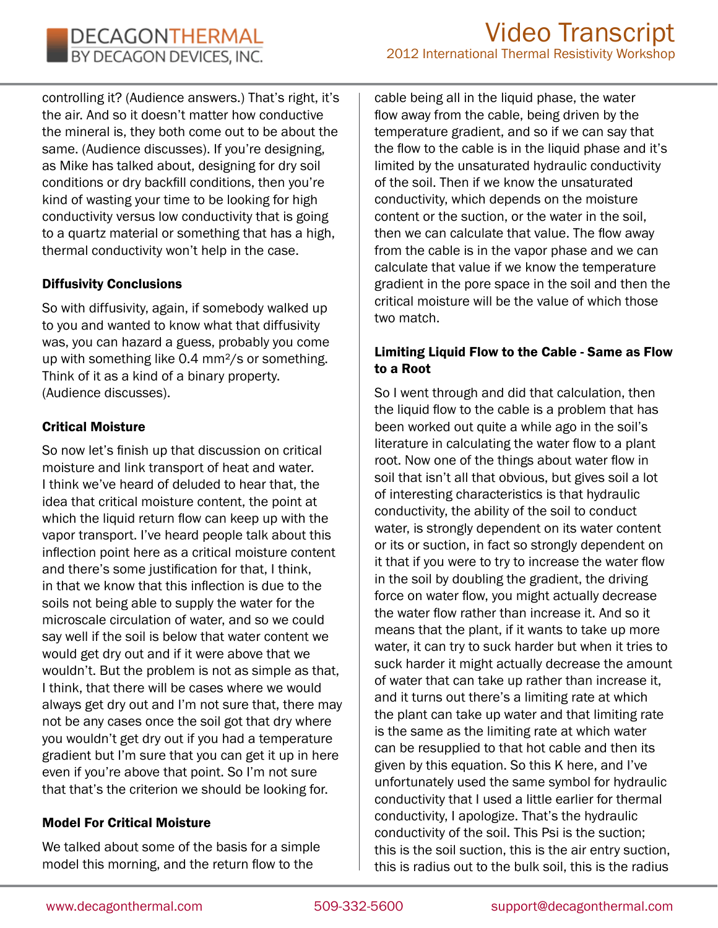controlling it? (Audience answers.) That's right, it's the air. And so it doesn't matter how conductive the mineral is, they both come out to be about the same. (Audience discusses). If you're designing, as Mike has talked about, designing for dry soil conditions or dry backfill conditions, then you're kind of wasting your time to be looking for high conductivity versus low conductivity that is going to a quartz material or something that has a high, thermal conductivity won't help in the case.

### Diffusivity Conclusions

So with diffusivity, again, if somebody walked up to you and wanted to know what that diffusivity was, you can hazard a guess, probably you come up with something like 0.4 mm²/s or something. Think of it as a kind of a binary property. (Audience discusses).

### Critical Moisture

So now let's finish up that discussion on critical moisture and link transport of heat and water. I think we've heard of deluded to hear that, the idea that critical moisture content, the point at which the liquid return flow can keep up with the vapor transport. I've heard people talk about this inflection point here as a critical moisture content and there's some justification for that, I think, in that we know that this inflection is due to the soils not being able to supply the water for the microscale circulation of water, and so we could say well if the soil is below that water content we would get dry out and if it were above that we wouldn't. But the problem is not as simple as that, I think, that there will be cases where we would always get dry out and I'm not sure that, there may not be any cases once the soil got that dry where you wouldn't get dry out if you had a temperature gradient but I'm sure that you can get it up in here even if you're above that point. So I'm not sure that that's the criterion we should be looking for.

### Model For Critical Moisture

We talked about some of the basis for a simple model this morning, and the return flow to the

cable being all in the liquid phase, the water flow away from the cable, being driven by the temperature gradient, and so if we can say that the flow to the cable is in the liquid phase and it's limited by the unsaturated hydraulic conductivity of the soil. Then if we know the unsaturated conductivity, which depends on the moisture content or the suction, or the water in the soil, then we can calculate that value. The flow away from the cable is in the vapor phase and we can calculate that value if we know the temperature gradient in the pore space in the soil and then the critical moisture will be the value of which those two match.

### Limiting Liquid Flow to the Cable - Same as Flow to a Root

So I went through and did that calculation, then the liquid flow to the cable is a problem that has been worked out quite a while ago in the soil's literature in calculating the water flow to a plant root. Now one of the things about water flow in soil that isn't all that obvious, but gives soil a lot of interesting characteristics is that hydraulic conductivity, the ability of the soil to conduct water, is strongly dependent on its water content or its or suction, in fact so strongly dependent on it that if you were to try to increase the water flow in the soil by doubling the gradient, the driving force on water flow, you might actually decrease the water flow rather than increase it. And so it means that the plant, if it wants to take up more water, it can try to suck harder but when it tries to suck harder it might actually decrease the amount of water that can take up rather than increase it, and it turns out there's a limiting rate at which the plant can take up water and that limiting rate is the same as the limiting rate at which water can be resupplied to that hot cable and then its given by this equation. So this K here, and I've unfortunately used the same symbol for hydraulic conductivity that I used a little earlier for thermal conductivity, I apologize. That's the hydraulic conductivity of the soil. This Psi is the suction; this is the soil suction, this is the air entry suction, this is radius out to the bulk soil, this is the radius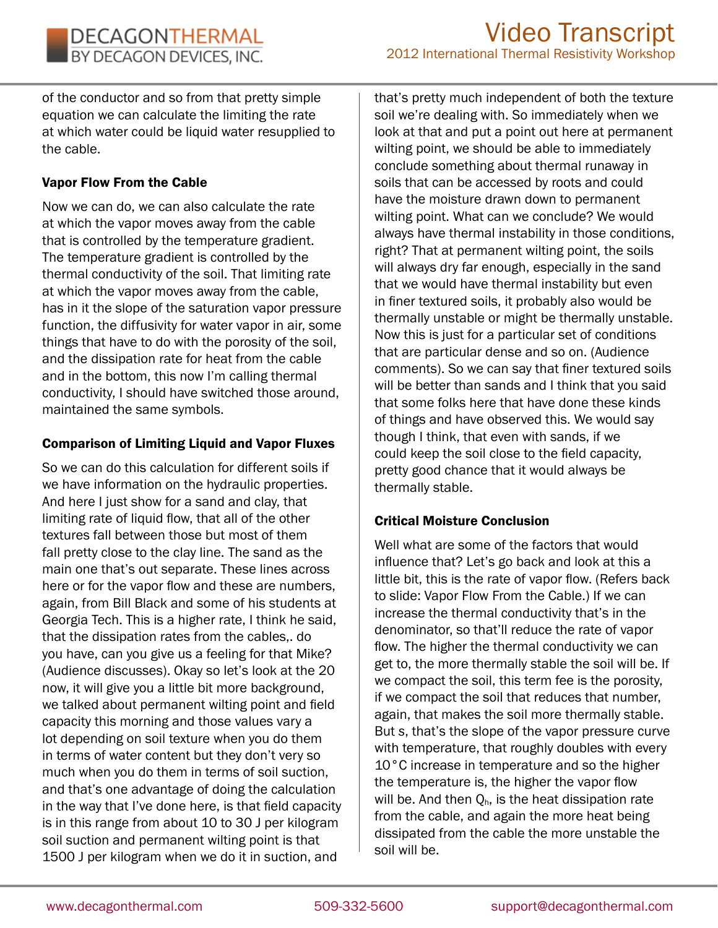of the conductor and so from that pretty simple equation we can calculate the limiting the rate at which water could be liquid water resupplied to the cable.

### Vapor Flow From the Cable

Now we can do, we can also calculate the rate at which the vapor moves away from the cable that is controlled by the temperature gradient. The temperature gradient is controlled by the thermal conductivity of the soil. That limiting rate at which the vapor moves away from the cable, has in it the slope of the saturation vapor pressure function, the diffusivity for water vapor in air, some things that have to do with the porosity of the soil, and the dissipation rate for heat from the cable and in the bottom, this now I'm calling thermal conductivity, I should have switched those around, maintained the same symbols.

### Comparison of Limiting Liquid and Vapor Fluxes

So we can do this calculation for different soils if we have information on the hydraulic properties. And here I just show for a sand and clay, that limiting rate of liquid flow, that all of the other textures fall between those but most of them fall pretty close to the clay line. The sand as the main one that's out separate. These lines across here or for the vapor flow and these are numbers, again, from Bill Black and some of his students at Georgia Tech. This is a higher rate, I think he said, that the dissipation rates from the cables,. do you have, can you give us a feeling for that Mike? (Audience discusses). Okay so let's look at the 20 now, it will give you a little bit more background, we talked about permanent wilting point and field capacity this morning and those values vary a lot depending on soil texture when you do them in terms of water content but they don't very so much when you do them in terms of soil suction, and that's one advantage of doing the calculation in the way that I've done here, is that field capacity is in this range from about 10 to 30 J per kilogram soil suction and permanent wilting point is that 1500 J per kilogram when we do it in suction, and

that's pretty much independent of both the texture soil we're dealing with. So immediately when we look at that and put a point out here at permanent wilting point, we should be able to immediately conclude something about thermal runaway in soils that can be accessed by roots and could have the moisture drawn down to permanent wilting point. What can we conclude? We would always have thermal instability in those conditions, right? That at permanent wilting point, the soils will always dry far enough, especially in the sand that we would have thermal instability but even in finer textured soils, it probably also would be thermally unstable or might be thermally unstable. Now this is just for a particular set of conditions that are particular dense and so on. (Audience comments). So we can say that finer textured soils will be better than sands and I think that you said that some folks here that have done these kinds of things and have observed this. We would say though I think, that even with sands, if we could keep the soil close to the field capacity, pretty good chance that it would always be thermally stable.

# Critical Moisture Conclusion

Well what are some of the factors that would influence that? Let's go back and look at this a little bit, this is the rate of vapor flow. (Refers back to slide: Vapor Flow From the Cable.) If we can increase the thermal conductivity that's in the denominator, so that'll reduce the rate of vapor flow. The higher the thermal conductivity we can get to, the more thermally stable the soil will be. If we compact the soil, this term fee is the porosity, if we compact the soil that reduces that number, again, that makes the soil more thermally stable. But *s*, that's the slope of the vapor pressure curve with temperature, that roughly doubles with every 10°C increase in temperature and so the higher the temperature is, the higher the vapor flow will be. And then  $Q_h$ , is the heat dissipation rate from the cable, and again the more heat being dissipated from the cable the more unstable the soil will be.